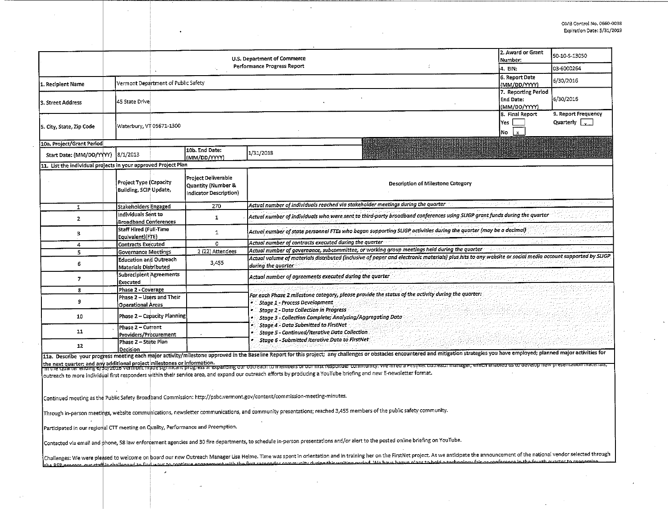|                                                                                                                                                                                                                                                                                                                                                                                                                                            |  |                                                                                                                                                       | U.S. Department of Commerce            |                                                                     |                                                                                                                                                                                                                                                                                                                                                                                                                                                                                                                                                                                                                                             | 2. Award or Grant<br>Number:      | 50-10-5-13050                                    |                                                      |  |  |  |
|--------------------------------------------------------------------------------------------------------------------------------------------------------------------------------------------------------------------------------------------------------------------------------------------------------------------------------------------------------------------------------------------------------------------------------------------|--|-------------------------------------------------------------------------------------------------------------------------------------------------------|----------------------------------------|---------------------------------------------------------------------|---------------------------------------------------------------------------------------------------------------------------------------------------------------------------------------------------------------------------------------------------------------------------------------------------------------------------------------------------------------------------------------------------------------------------------------------------------------------------------------------------------------------------------------------------------------------------------------------------------------------------------------------|-----------------------------------|--------------------------------------------------|------------------------------------------------------|--|--|--|
|                                                                                                                                                                                                                                                                                                                                                                                                                                            |  |                                                                                                                                                       | Performance Progress Report<br>4. EIN: |                                                                     |                                                                                                                                                                                                                                                                                                                                                                                                                                                                                                                                                                                                                                             |                                   |                                                  | 03-6000264                                           |  |  |  |
| 1. Recipient Name                                                                                                                                                                                                                                                                                                                                                                                                                          |  |                                                                                                                                                       | Vermont Department of Public Safety    | 6. Report Date<br>(MM/DD/YYYY)                                      | 6/30/2016                                                                                                                                                                                                                                                                                                                                                                                                                                                                                                                                                                                                                                   |                                   |                                                  |                                                      |  |  |  |
| 3. Street Address                                                                                                                                                                                                                                                                                                                                                                                                                          |  | 45 State Drive                                                                                                                                        |                                        |                                                                     |                                                                                                                                                                                                                                                                                                                                                                                                                                                                                                                                                                                                                                             |                                   | 7. Reporting Period<br>End Date:<br>(MM/DD/YYYY) | 6/30/2016                                            |  |  |  |
| 5. City, State, Zip Code                                                                                                                                                                                                                                                                                                                                                                                                                   |  |                                                                                                                                                       | Waterbury, VT 05671-1300               |                                                                     |                                                                                                                                                                                                                                                                                                                                                                                                                                                                                                                                                                                                                                             |                                   |                                                  | 9. Report Frequency<br>Quarterly $\vert \cdot \vert$ |  |  |  |
| 10a. Project/Grant Period                                                                                                                                                                                                                                                                                                                                                                                                                  |  |                                                                                                                                                       |                                        |                                                                     |                                                                                                                                                                                                                                                                                                                                                                                                                                                                                                                                                                                                                                             |                                   |                                                  |                                                      |  |  |  |
| Start Date: (MM/DD/YYYY)                                                                                                                                                                                                                                                                                                                                                                                                                   |  | 8/1/2013                                                                                                                                              |                                        | 10b, End Date:<br>(MM/DD/YYYY)                                      | 1/31/2018                                                                                                                                                                                                                                                                                                                                                                                                                                                                                                                                                                                                                                   |                                   |                                                  |                                                      |  |  |  |
| 11. List the individual projects in your approved Project Plan                                                                                                                                                                                                                                                                                                                                                                             |  |                                                                                                                                                       |                                        |                                                                     |                                                                                                                                                                                                                                                                                                                                                                                                                                                                                                                                                                                                                                             |                                   |                                                  |                                                      |  |  |  |
|                                                                                                                                                                                                                                                                                                                                                                                                                                            |  | Project Type (Capacity<br>Building, SCIP Update,                                                                                                      |                                        | Project Deliverable<br>Quantity (Number &<br>Indicator Description) |                                                                                                                                                                                                                                                                                                                                                                                                                                                                                                                                                                                                                                             | Description of Milestone Category |                                                  |                                                      |  |  |  |
| $\mathbf{1}$                                                                                                                                                                                                                                                                                                                                                                                                                               |  | <b>Stakeholders Engaged</b>                                                                                                                           |                                        | 270                                                                 | Actual number of individuals reached via stakeholder meetings during the quarter                                                                                                                                                                                                                                                                                                                                                                                                                                                                                                                                                            |                                   |                                                  |                                                      |  |  |  |
| $\mathbf{2}$                                                                                                                                                                                                                                                                                                                                                                                                                               |  | Individuals Sent to<br><b>Broadband Conferences</b>                                                                                                   |                                        | $\mathbf{1}$                                                        | Actual number of individuals who were sent to third-party broadband conferences using SLIGP grant funds during the quarter                                                                                                                                                                                                                                                                                                                                                                                                                                                                                                                  |                                   |                                                  |                                                      |  |  |  |
| 3                                                                                                                                                                                                                                                                                                                                                                                                                                          |  | Staff Hired (Full-Time<br>$\mathbf{1}$<br>Equivalent)(FTE)                                                                                            |                                        |                                                                     | Actual number of state personnel FTEs who began supporting SLIGP activities during the quarter (may be a decimal)                                                                                                                                                                                                                                                                                                                                                                                                                                                                                                                           |                                   |                                                  |                                                      |  |  |  |
| 4                                                                                                                                                                                                                                                                                                                                                                                                                                          |  | Contracts Executed                                                                                                                                    |                                        | $\mathbf{0}$                                                        | Actual number of contracts executed during the quarter                                                                                                                                                                                                                                                                                                                                                                                                                                                                                                                                                                                      |                                   |                                                  |                                                      |  |  |  |
| 5                                                                                                                                                                                                                                                                                                                                                                                                                                          |  | 2 (22) Attendees<br>Governance Meetings                                                                                                               |                                        |                                                                     | Actual number of governance, subcommittee, or working group meetings held during the quarter<br>Actual volume of materials distributed (inclusive of paper and electronic materials) plus hits to any website or social media account supported by SLIGP                                                                                                                                                                                                                                                                                                                                                                                    |                                   |                                                  |                                                      |  |  |  |
| 6                                                                                                                                                                                                                                                                                                                                                                                                                                          |  | <b>Education and Outreach</b><br>3,455<br>Materials Distributed                                                                                       |                                        |                                                                     | during the quarter                                                                                                                                                                                                                                                                                                                                                                                                                                                                                                                                                                                                                          |                                   |                                                  |                                                      |  |  |  |
| $\overline{7}$                                                                                                                                                                                                                                                                                                                                                                                                                             |  | Subrecipient Agreements<br>Executed                                                                                                                   |                                        |                                                                     | Actual number of agreements executed during the quarter                                                                                                                                                                                                                                                                                                                                                                                                                                                                                                                                                                                     |                                   |                                                  |                                                      |  |  |  |
| 8                                                                                                                                                                                                                                                                                                                                                                                                                                          |  | Phase 2 - Coverage<br>For each Phase 2 milestone category, please provide the status of the activity during the quarter:<br>Phase 2 - Users and Their |                                        |                                                                     |                                                                                                                                                                                                                                                                                                                                                                                                                                                                                                                                                                                                                                             |                                   |                                                  |                                                      |  |  |  |
| 9                                                                                                                                                                                                                                                                                                                                                                                                                                          |  | <b>Operational Areas</b>                                                                                                                              |                                        |                                                                     | Stage 1 - Process Development                                                                                                                                                                                                                                                                                                                                                                                                                                                                                                                                                                                                               |                                   |                                                  |                                                      |  |  |  |
| 10                                                                                                                                                                                                                                                                                                                                                                                                                                         |  | <b>Stage 2 - Data Collection in Progress</b><br>Phase 2 - Capacity Planning<br>Stage 3 - Collection Complete: Analyzing/Aggregating Data              |                                        |                                                                     |                                                                                                                                                                                                                                                                                                                                                                                                                                                                                                                                                                                                                                             |                                   |                                                  |                                                      |  |  |  |
| 11                                                                                                                                                                                                                                                                                                                                                                                                                                         |  | Stage 4 - Data Submitted to FirstNet<br>Phase 2 - Current<br>Stage 5 - Continued/Iterative Data Collection<br>Providers/Procurement                   |                                        |                                                                     |                                                                                                                                                                                                                                                                                                                                                                                                                                                                                                                                                                                                                                             |                                   |                                                  |                                                      |  |  |  |
| 12                                                                                                                                                                                                                                                                                                                                                                                                                                         |  | Stage 6 - Submitted Iterative Data to FirstNet<br>Phase 2 - State Plan<br>Decision                                                                    |                                        |                                                                     |                                                                                                                                                                                                                                                                                                                                                                                                                                                                                                                                                                                                                                             |                                   |                                                  |                                                      |  |  |  |
|                                                                                                                                                                                                                                                                                                                                                                                                                                            |  |                                                                                                                                                       |                                        |                                                                     | 11a. Describe your progress meeting each major activity/milestone approved in the Baseline Report for this project; any challenges or obstacles encountered and mitigation strategies you have employed; planned major activit<br>the next quarter; and any additional project milestones or information.<br>"In the Quarter enting by approving the vermont magnetic progress in expanding our cottreact to miles of the commonly. We mired a rinstrict out each m<br>outreach to more individual first responders within their service area, and expand our outreach efforts by producing a YouTube briefing and new E-newsletter format. |                                   |                                                  |                                                      |  |  |  |
|                                                                                                                                                                                                                                                                                                                                                                                                                                            |  |                                                                                                                                                       |                                        |                                                                     | Continued meeting as the Public Safety Broadband Commission: http://psbc.vermont.gov/content/commission-meeting-minutes.                                                                                                                                                                                                                                                                                                                                                                                                                                                                                                                    |                                   |                                                  |                                                      |  |  |  |
|                                                                                                                                                                                                                                                                                                                                                                                                                                            |  |                                                                                                                                                       |                                        |                                                                     | Through in-person meetings, website communications, newsletter communications, and community presentations; reached 3,455 members of the public safety community.                                                                                                                                                                                                                                                                                                                                                                                                                                                                           |                                   |                                                  |                                                      |  |  |  |
| Participated in our regional CTT meeting on Quality, Performance and Preemption.                                                                                                                                                                                                                                                                                                                                                           |  |                                                                                                                                                       |                                        |                                                                     |                                                                                                                                                                                                                                                                                                                                                                                                                                                                                                                                                                                                                                             |                                   |                                                  |                                                      |  |  |  |
|                                                                                                                                                                                                                                                                                                                                                                                                                                            |  |                                                                                                                                                       |                                        |                                                                     | Contacted via email and phone, 58 law enforcement agencies and 30 fire departments, to schedule in-person presentations and/or alert to the posted online briefing on YouTube.                                                                                                                                                                                                                                                                                                                                                                                                                                                              |                                   |                                                  |                                                      |  |  |  |
| Challenges: We were pleased to welcome on board our new Outreach Manager Lisa Helme. Time was spent in orientation and in training her on the FirstNet project. As we anticipate the announcement of the national vendor selec<br>ctaffic challenged to find wave to continue engagement with the first recogneler community during this waiting period. We have heavy plans to hold a tochoology fair or conference in the fourth quarter |  |                                                                                                                                                       |                                        |                                                                     |                                                                                                                                                                                                                                                                                                                                                                                                                                                                                                                                                                                                                                             |                                   |                                                  |                                                      |  |  |  |
|                                                                                                                                                                                                                                                                                                                                                                                                                                            |  |                                                                                                                                                       |                                        |                                                                     |                                                                                                                                                                                                                                                                                                                                                                                                                                                                                                                                                                                                                                             |                                   |                                                  |                                                      |  |  |  |

 $\bar{\mathcal{L}}$ 

 $\Delta$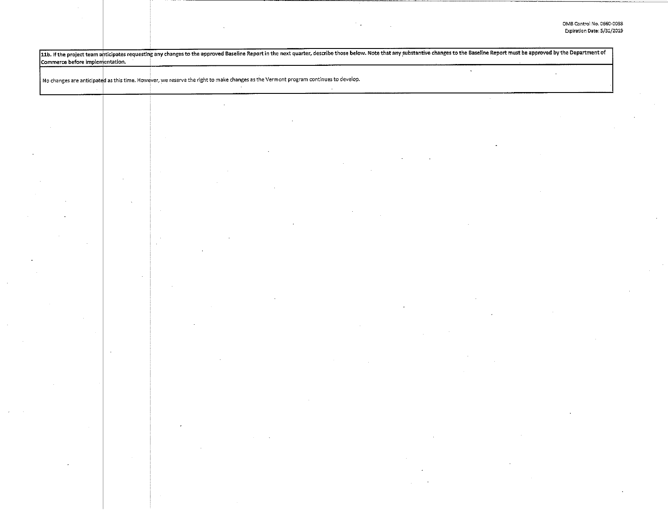11b. If the project team anticipates requesting any changes to the approved Baseline Report in the next quarter, describe those below. Note that any substantive changes to the Baseline Report must be approved by the Depart Commerce before implementation.  $\tilde{\mathcal{A}}$ No changes are anticipated as this time. However, we reserve the right to make changes as the Vermont program continues to develop.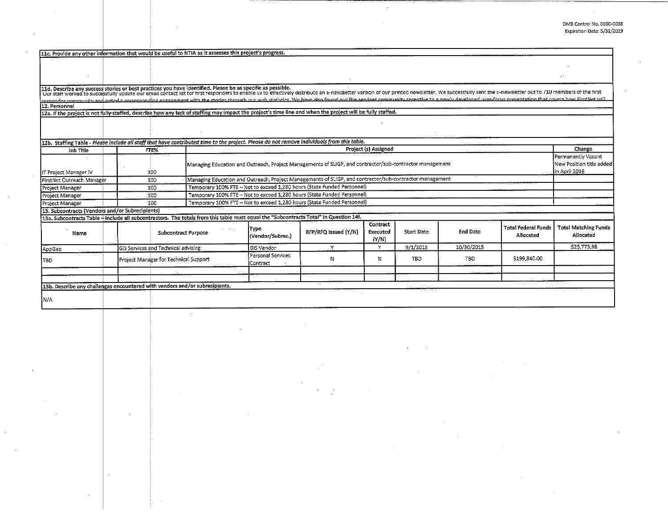| 11c. Provide any other information that would be useful to NTIA as it assesses this project's progress.                                                                                                                           |                                            |                                                                                                         |                                                                                                         |                      |                               |                   |                 |                                         |                                          |  |  |
|-----------------------------------------------------------------------------------------------------------------------------------------------------------------------------------------------------------------------------------|--------------------------------------------|---------------------------------------------------------------------------------------------------------|---------------------------------------------------------------------------------------------------------|----------------------|-------------------------------|-------------------|-----------------|-----------------------------------------|------------------------------------------|--|--|
|                                                                                                                                                                                                                                   |                                            |                                                                                                         |                                                                                                         |                      |                               |                   |                 |                                         |                                          |  |  |
|                                                                                                                                                                                                                                   |                                            |                                                                                                         |                                                                                                         |                      |                               |                   |                 |                                         |                                          |  |  |
|                                                                                                                                                                                                                                   |                                            |                                                                                                         |                                                                                                         |                      |                               |                   |                 |                                         |                                          |  |  |
|                                                                                                                                                                                                                                   |                                            |                                                                                                         |                                                                                                         |                      |                               |                   |                 |                                         |                                          |  |  |
| 11d. Describe any success stories or best practices you have identified. Please be as specific as possible.<br>Our start worked to successfully update our email contact list for first responders to enable us to effectively di |                                            |                                                                                                         |                                                                                                         |                      |                               |                   |                 |                                         |                                          |  |  |
| responder community and pated a corresponding engagement with the stories through our web statistics. Me have also found our fire sepaces community receptive to a newly developed user focus presentation that covers how Fir    |                                            |                                                                                                         |                                                                                                         |                      |                               |                   |                 |                                         |                                          |  |  |
| 12. Personnel<br>12a. If the project is not fully staffed, describe how any lack of staffing may impact the project's time line and when the project will be fully staffed.                                                       |                                            |                                                                                                         |                                                                                                         |                      |                               |                   |                 |                                         |                                          |  |  |
|                                                                                                                                                                                                                                   |                                            |                                                                                                         |                                                                                                         |                      |                               |                   |                 |                                         |                                          |  |  |
|                                                                                                                                                                                                                                   |                                            |                                                                                                         |                                                                                                         |                      |                               |                   |                 |                                         |                                          |  |  |
|                                                                                                                                                                                                                                   |                                            |                                                                                                         |                                                                                                         |                      |                               |                   |                 |                                         |                                          |  |  |
| 12b. Staffing Table - Please include all stoff that have contributed time to the project. Please do not remove individuals from this table.                                                                                       |                                            |                                                                                                         |                                                                                                         |                      |                               |                   |                 |                                         |                                          |  |  |
| Job Title                                                                                                                                                                                                                         | FTE%                                       |                                                                                                         | Project (s) Assigned                                                                                    |                      |                               |                   |                 |                                         | Change                                   |  |  |
|                                                                                                                                                                                                                                   |                                            |                                                                                                         |                                                                                                         |                      |                               |                   |                 |                                         | Permanently Vacant                       |  |  |
|                                                                                                                                                                                                                                   |                                            | Managing Education and Outreach, Project Managements of SLIGP, and contractor/sub-contractor management |                                                                                                         |                      |                               |                   |                 |                                         | New Position title added                 |  |  |
| IT Project Manager IV                                                                                                                                                                                                             | 100                                        |                                                                                                         | in April 2016                                                                                           |                      |                               |                   |                 |                                         |                                          |  |  |
| FirstNet Outreach Manager                                                                                                                                                                                                         | 100                                        |                                                                                                         | Managing Education and Outreach, Project Managements of SLIGP, and contractor/sub-contractor management |                      |                               |                   |                 |                                         |                                          |  |  |
| Project Manager                                                                                                                                                                                                                   | 100                                        |                                                                                                         | Temporary 100% FTE - Not to exceed 1,280 hours (State Funded Personnel)                                 |                      |                               |                   |                 |                                         |                                          |  |  |
| Project Manager                                                                                                                                                                                                                   | 100                                        |                                                                                                         | Temporary 100% FTE - Not to exceed 1,280 hours (State Funded Personnel)                                 |                      |                               |                   |                 |                                         |                                          |  |  |
| Project Manager                                                                                                                                                                                                                   | 100                                        |                                                                                                         | Temporary 100% FTE - Not to exceed 1,280 hours (State Funded Personnel)                                 |                      |                               |                   |                 |                                         |                                          |  |  |
| 13. Subcontracts (Vendors and/or Subrecipients)                                                                                                                                                                                   |                                            |                                                                                                         |                                                                                                         |                      |                               |                   |                 |                                         |                                          |  |  |
| 13a. Subcontracts Table + Include all subcontractors. The totals from this table must equal the "Subcontracts Total" in Question 14f.                                                                                             |                                            |                                                                                                         |                                                                                                         |                      |                               |                   |                 |                                         |                                          |  |  |
| Name                                                                                                                                                                                                                              | <b>Subcontract Purpose</b>                 |                                                                                                         | <b>Type</b><br>(Vendor/Subrec.)                                                                         | RFP/RFQ Issued (Y/N) | Contract<br>Executed<br>(N/N) | <b>Start Date</b> | <b>End Date</b> | <b>Total Federal Funds</b><br>Allocated | <b>Total Matching Funds</b><br>Allocated |  |  |
| AppGeo                                                                                                                                                                                                                            | <b>GIS Services and Technical advising</b> |                                                                                                         | GIS Vendor                                                                                              | Y                    | v                             | 9/1/2015          | 10/30/2015      |                                         | \$25,773.98                              |  |  |
| 1твр                                                                                                                                                                                                                              | Project Manager for Technical Support      |                                                                                                         | Personal Services<br>Contract                                                                           | N                    | N                             | <b>TBD</b>        | .TBD.           | \$199,840.00                            |                                          |  |  |
|                                                                                                                                                                                                                                   |                                            |                                                                                                         |                                                                                                         |                      |                               |                   |                 |                                         |                                          |  |  |
|                                                                                                                                                                                                                                   |                                            |                                                                                                         |                                                                                                         |                      |                               |                   |                 |                                         |                                          |  |  |
| 13b. Describe any challenges encountered with vendors and/or subrecipients.                                                                                                                                                       |                                            |                                                                                                         |                                                                                                         |                      |                               |                   |                 |                                         |                                          |  |  |
|                                                                                                                                                                                                                                   |                                            |                                                                                                         |                                                                                                         |                      |                               |                   |                 |                                         |                                          |  |  |
| ÌΝ/A                                                                                                                                                                                                                              |                                            |                                                                                                         |                                                                                                         |                      |                               |                   |                 |                                         |                                          |  |  |

 $\sim$ 

 $\mathbf{r}$ 

 $\alpha$ 

 $\mathbf{r}$